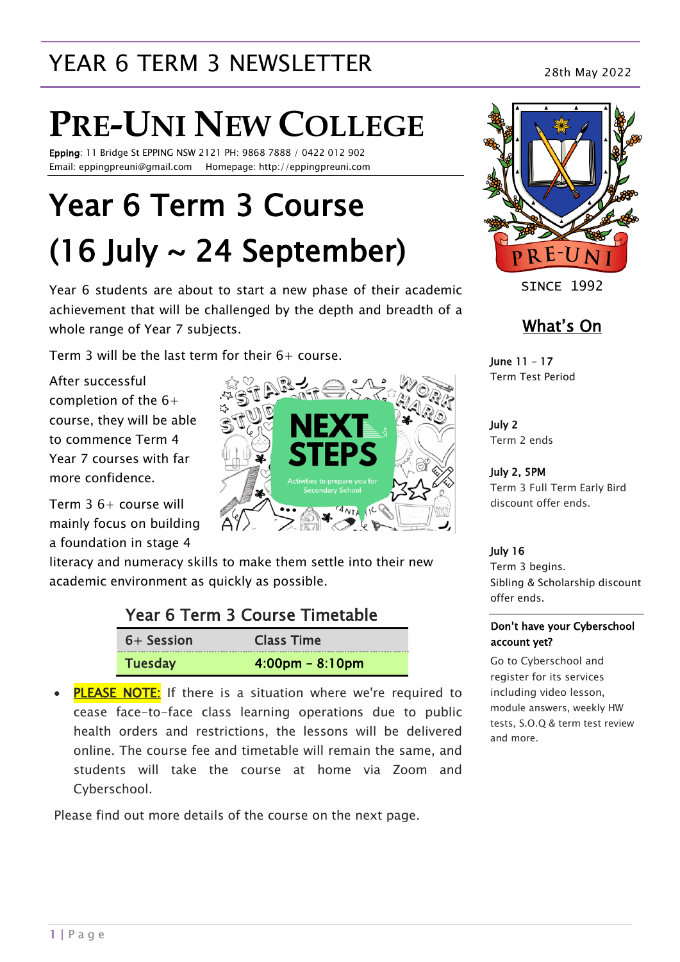## YEAR 6 TERM 3 NEWSLETTER<br>28th May 2022

# **PRE-UNI NEW COLLEGE**

Epping: 11 Bridge St EPPING NSW 2121 PH: 9868 7888 / 0422 012 902 Email: eppingpreuni@gmail.com Homepage: http://eppingpreuni.com

## Year 6 Term 3 Course  $(16$  July  $\sim$  24 September)

Year 6 students are about to start a new phase of their academic achievement that will be challenged by the depth and breadth of a whole range of Year 7 subjects.

Term 3 will be the last term for their 6+ course.

After successful completion of the 6+ course, they will be able to commence Term 4 Year 7 courses with far more confidence.

Term 3 6+ course will mainly focus on building a foundation in stage 4

literacy and numeracy skills to make them settle into their new academic environment as quickly as possible.

### Year 6 Term 3 Course Timetable

| 6+ Session     | <b>Class Time</b>                 |
|----------------|-----------------------------------|
| <b>Tuesday</b> | $4:00 \text{pm} - 8:10 \text{pm}$ |

• **PLEASE NOTE:** If there is a situation where we're required to cease face-to-face class learning operations due to public health orders and restrictions, the lessons will be delivered online. The course fee and timetable will remain the same, and students will take the course at home via Zoom and Cyberschool.

Please find out more details of the course on the next page.





**STNCF 1992** 

### What's On

June 11 – 17 Term Test Period

July 2 Term 2 ends

July 2, 5PM Term 3 Full Term Early Bird discount offer ends.

### July 16

Term 3 begins. Sibling & Scholarship discount offer ends.

### Don't have your Cyberschool account yet?

Go to Cyberschool and register for its services including video lesson, module answers, weekly HW tests, S.O.Q & term test review and more.